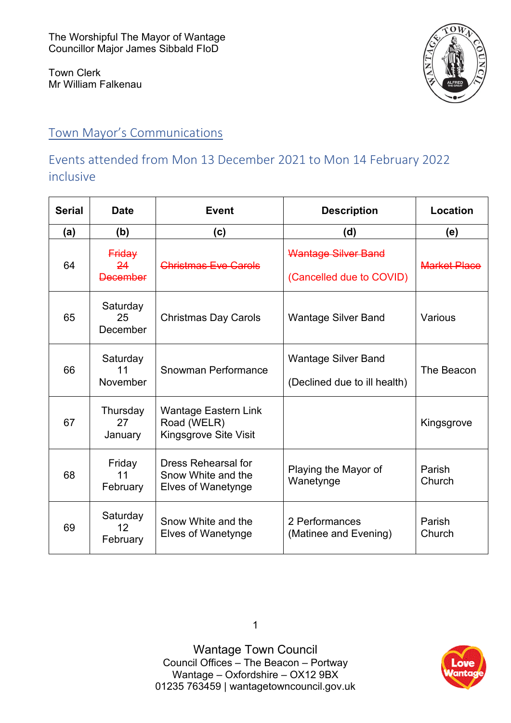Town Clerk Mr William Falkenau



# Town Mayor's Communications

# Events attended from Mon 13 December 2021 to Mon 14 February 2022 inclusive

| <b>Serial</b> | <b>Date</b>                     | <b>Event</b>                                                                  | <b>Description</b>                                         | Location            |
|---------------|---------------------------------|-------------------------------------------------------------------------------|------------------------------------------------------------|---------------------|
| (a)           | (b)                             | (c)                                                                           | (d)                                                        | (e)                 |
| 64            | Friday<br>24<br><b>December</b> | <b>Christmas Eve Carols</b>                                                   | <b>Wantage Silver Band</b><br>(Cancelled due to COVID)     | <b>Market Place</b> |
| 65            | Saturday<br>25<br>December      | <b>Christmas Day Carols</b>                                                   | <b>Wantage Silver Band</b>                                 | Various             |
| 66            | Saturday<br>11<br>November      | Snowman Performance                                                           | <b>Wantage Silver Band</b><br>(Declined due to ill health) | The Beacon          |
| 67            | Thursday<br>27<br>January       | <b>Wantage Eastern Link</b><br>Road (WELR)<br>Kingsgrove Site Visit           |                                                            | Kingsgrove          |
| 68            | Friday<br>11<br>February        | <b>Dress Rehearsal for</b><br>Snow White and the<br><b>Elves of Wanetynge</b> | Playing the Mayor of<br>Wanetynge                          | Parish<br>Church    |
| 69            | Saturday<br>$12 \,$<br>February | Snow White and the<br>Elves of Wanetynge                                      | 2 Performances<br>(Matinee and Evening)                    | Parish<br>Church    |

Wantage Town Council Council Offices – The Beacon – Portway Wantage – Oxfordshire – OX12 9BX [01235 763459](tel:+441235763459) | [wantagetowncouncil.gov.uk](https://wantagetowncouncil.gov.uk/)

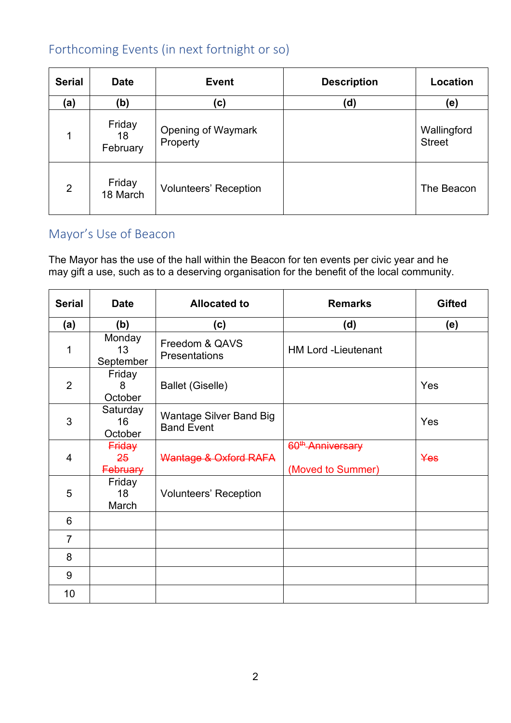# Forthcoming Events (in next fortnight or so)

| <b>Serial</b>  | <b>Date</b>              | <b>Event</b>                          | <b>Description</b> | Location                     |
|----------------|--------------------------|---------------------------------------|--------------------|------------------------------|
| (a)            | (b)                      | (c)                                   | (d)                | (e)                          |
| 1              | Friday<br>18<br>February | <b>Opening of Waymark</b><br>Property |                    | Wallingford<br><b>Street</b> |
| $\overline{2}$ | Friday<br>18 March       | <b>Volunteers' Reception</b>          |                    | The Beacon                   |

## Mayor's Use of Beacon

The Mayor has the use of the hall within the Beacon for ten events per civic year and he may gift a use, such as to a deserving organisation for the benefit of the local community.

| <b>Serial</b>  | <b>Date</b>                     | <b>Allocated to</b>                                 | <b>Remarks</b>                                     | <b>Gifted</b> |
|----------------|---------------------------------|-----------------------------------------------------|----------------------------------------------------|---------------|
| (a)            | (b)                             | (c)                                                 | (d)                                                | (e)           |
| 1              | Monday<br>13<br>September       | Freedom & QAVS<br><b>Presentations</b>              | <b>HM Lord -Lieutenant</b>                         |               |
| $\overline{2}$ | Friday<br>8<br>October          | <b>Ballet (Giselle)</b>                             |                                                    | Yes           |
| 3              | Saturday<br>16<br>October       | <b>Wantage Silver Band Big</b><br><b>Band Event</b> |                                                    | Yes           |
| 4              | Friday<br>25<br><b>February</b> | Wantage & Oxford RAFA                               | 60 <sup>th</sup> -Anniversary<br>(Moved to Summer) | Yes           |
| 5              | Friday<br>18<br>March           | <b>Volunteers' Reception</b>                        |                                                    |               |
| 6              |                                 |                                                     |                                                    |               |
| $\overline{7}$ |                                 |                                                     |                                                    |               |
| 8              |                                 |                                                     |                                                    |               |
| 9              |                                 |                                                     |                                                    |               |
| 10             |                                 |                                                     |                                                    |               |